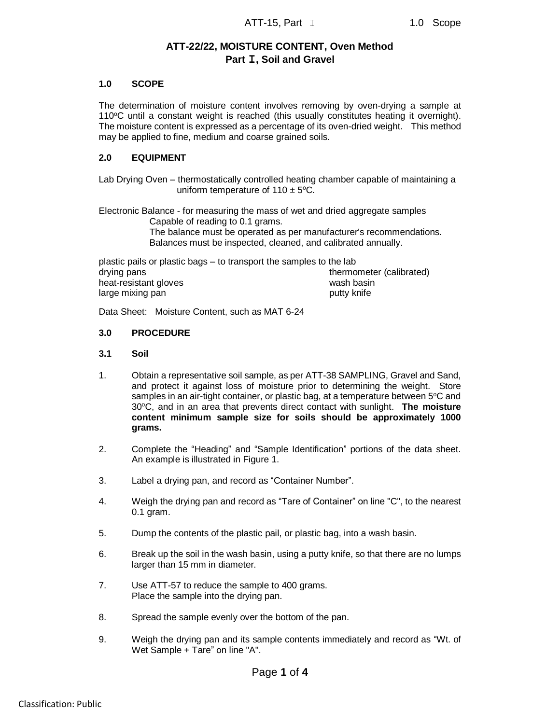# **ATT-22/22, MOISTURE CONTENT, Oven Method Part I, Soil and Gravel**

## **1.0 SCOPE**

The determination of moisture content involves removing by oven-drying a sample at  $110^{\circ}$ C until a constant weight is reached (this usually constitutes heating it overnight). The moisture content is expressed as a percentage of its oven-dried weight. This method may be applied to fine, medium and coarse grained soils.

## **2.0 EQUIPMENT**

Lab Drying Oven – thermostatically controlled heating chamber capable of maintaining a uniform temperature of 110  $\pm$  5°C.

Electronic Balance - for measuring the mass of wet and dried aggregate samples Capable of reading to 0.1 grams. The balance must be operated as per manufacturer's recommendations. Balances must be inspected, cleaned, and calibrated annually.

plastic pails or plastic bags – to transport the samples to the lab drying pans thermometer (calibrated) heat-resistant gloves wash basin large mixing pan putty knife

Data Sheet: Moisture Content, such as MAT 6-24

#### **3.0 PROCEDURE**

#### **3.1 Soil**

- 1. Obtain a representative soil sample, as per ATT-38 SAMPLING, Gravel and Sand, and protect it against loss of moisture prior to determining the weight. Store samples in an air-tight container, or plastic bag, at a temperature between 5°C and 30<sup>o</sup>C, and in an area that prevents direct contact with sunlight. **The moisture content minimum sample size for soils should be approximately 1000 grams.**
- 2. Complete the "Heading" and "Sample Identification" portions of the data sheet. An example is illustrated in Figure 1.
- 3. Label a drying pan, and record as "Container Number".
- 4. Weigh the drying pan and record as "Tare of Container" on line "C", to the nearest 0.1 gram.
- 5. Dump the contents of the plastic pail, or plastic bag, into a wash basin.
- 6. Break up the soil in the wash basin, using a putty knife, so that there are no lumps larger than 15 mm in diameter.
- 7. Use ATT-57 to reduce the sample to 400 grams. Place the sample into the drying pan.
- 8. Spread the sample evenly over the bottom of the pan.
- 9. Weigh the drying pan and its sample contents immediately and record as "Wt. of Wet Sample + Tare" on line "A".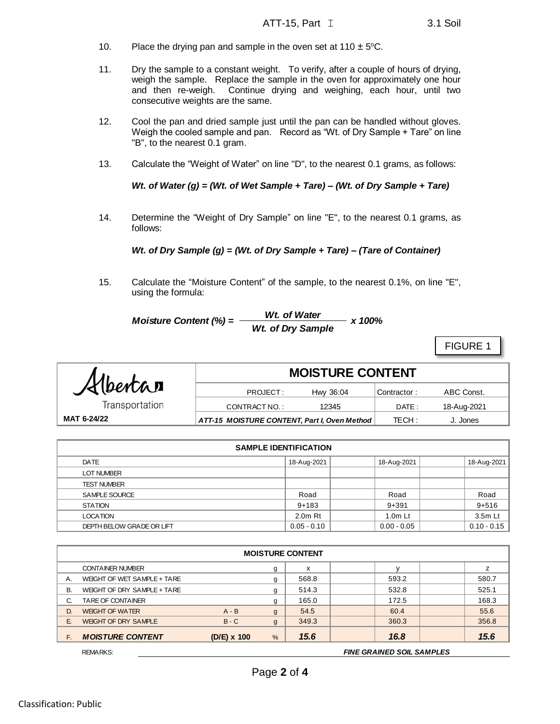- 10. Place the drying pan and sample in the oven set at 110  $\pm$  5°C.
- 11. Dry the sample to a constant weight. To verify, after a couple of hours of drying, weigh the sample. Replace the sample in the oven for approximately one hour and then re-weigh. Continue drying and weighing, each hour, until two consecutive weights are the same.
- 12. Cool the pan and dried sample just until the pan can be handled without gloves. Weigh the cooled sample and pan. Record as "Wt. of Dry Sample + Tare" on line "B", to the nearest 0.1 gram.
- 13. Calculate the "Weight of Water" on line "D", to the nearest 0.1 grams, as follows:

*Wt. of Water (g) = (Wt. of Wet Sample + Tare) – (Wt. of Dry Sample + Tare)*

14. Determine the "Weight of Dry Sample" on line "E", to the nearest 0.1 grams, as follows:

*Wt. of Dry Sample (g) = (Wt. of Dry Sample + Tare) – (Tare of Container)*

15. Calculate the "Moisture Content" of the sample, to the nearest 0.1%, on line "E", using the formula:

Moisture Content (%) = 
$$
\frac{Wt. \text{ of Water}}{Wt. \text{ of Dry Sample}} \times 100\%
$$

FIGURE 1

|                                                             | <b>MOISTURE CONTENT</b> |           |             |             |  |
|-------------------------------------------------------------|-------------------------|-----------|-------------|-------------|--|
| Albertan                                                    | PROJECT:                | Hwy 36:04 | Contractor: | ABC Const.  |  |
| Transportation                                              | CONTRACT NO.:           | 12345     | DATE :      | 18-Aug-2021 |  |
| MAT 6-24/22<br>ATT-15 MOISTURE CONTENT, Part I, Oven Method |                         |           | TECH :      | J. Jones    |  |

| <b>SAMPLE IDENTIFICATION</b> |               |               |               |  |  |  |
|------------------------------|---------------|---------------|---------------|--|--|--|
| DATE                         | 18-Aug-2021   | 18-Aug-2021   | 18-Aug-2021   |  |  |  |
| <b>LOT NUMBER</b>            |               |               |               |  |  |  |
| <b>TEST NUMBER</b>           |               |               |               |  |  |  |
| SAMPLE SOURCE                | Road          | Road          | Road          |  |  |  |
| <b>STATION</b>               | $9 + 183$     | $9 + 391$     | $9 + 516$     |  |  |  |
| <b>LOCATION</b>              | $2.0m$ Rt     | $1.0m$ Lt     | 3.5m Lt       |  |  |  |
| DEPTH BELOW GRADE OR LIFT    | $0.05 - 0.10$ | $0.00 - 0.05$ | $0.10 - 0.15$ |  |  |  |

| <b>MOISTURE CONTENT</b>     |             |              |       |       |       |  |  |
|-----------------------------|-------------|--------------|-------|-------|-------|--|--|
| <b>CONTAINER NUMBER</b>     |             | g            | X     |       |       |  |  |
| WEIGHT OF WET SAMPLE + TARE |             | g            | 568.8 | 593.2 | 580.7 |  |  |
| WEIGHT OF DRY SAMPLE + TARE |             | g            | 514.3 | 532.8 | 525.1 |  |  |
| TARE OF CONTAINER           |             | g            | 165.0 | 172.5 | 168.3 |  |  |
| <b>WEIGHT OF WATER</b>      | $A - B$     | g            | 54.5  | 60.4  | 55.6  |  |  |
| <b>WEIGHT OF DRY SAMPLE</b> | $B - C$     | $\mathsf{g}$ | 349.3 | 360.3 | 356.8 |  |  |
| <b>MOISTURE CONTENT</b>     | (D/E) x 100 | %            | 15.6  | 16.8  | 15.6  |  |  |
|                             |             |              |       |       |       |  |  |

REMARKS: *FINE GRAINED SOIL SAMPLES*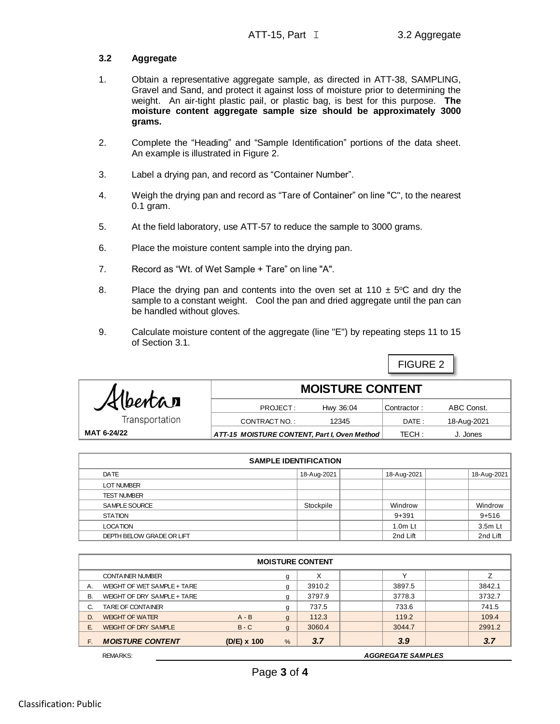FIGURE 2

## **3.2 Aggregate**

- 1. Obtain a representative aggregate sample, as directed in ATT-38, SAMPLING, Gravel and Sand, and protect it against loss of moisture prior to determining the weight. An air-tight plastic pail, or plastic bag, is best for this purpose. **The moisture content aggregate sample size should be approximately 3000 grams.**
- 2. Complete the "Heading" and "Sample Identification" portions of the data sheet. An example is illustrated in Figure 2.
- 3. Label a drying pan, and record as "Container Number".
- 4. Weigh the drying pan and record as "Tare of Container" on line "C", to the nearest 0.1 gram.
- 5. At the field laboratory, use ATT-57 to reduce the sample to 3000 grams.
- 6. Place the moisture content sample into the drying pan.
- 7. Record as "Wt. of Wet Sample + Tare" on line "A".
- 8. Place the drying pan and contents into the oven set at 110  $\pm$  5°C and dry the sample to a constant weight. Cool the pan and dried aggregate until the pan can be handled without gloves.
- 9. Calculate moisture content of the aggregate (line "E") by repeating steps 11 to 15 of Section 3.1.

| Albertan       | <b>MOISTURE CONTENT</b>                      |           |             |             |  |  |
|----------------|----------------------------------------------|-----------|-------------|-------------|--|--|
|                | PROJECT:                                     | Hwy 36:04 | Contractor: | ABC Const.  |  |  |
| Transportation | CONTRACT NO.:                                | 12345     | DATE:       | 18-Aug-2021 |  |  |
| MAT 6-24/22    | ATT-15 MOISTURE CONTENT, Part I, Oven Method |           | TECH:       | J. Jones    |  |  |

| <b>SAMPLE IDENTIFICATION</b> |             |             |             |  |  |  |
|------------------------------|-------------|-------------|-------------|--|--|--|
| DATE                         | 18-Aug-2021 | 18-Aug-2021 | 18-Aug-2021 |  |  |  |
| <b>LOT NUMBER</b>            |             |             |             |  |  |  |
| <b>TEST NUMBER</b>           |             |             |             |  |  |  |
| SAMPLE SOURCE                | Stockpile   | Windrow     | Windrow     |  |  |  |
| <b>STATION</b>               |             | $9 + 391$   | $9 + 516$   |  |  |  |
| <b>LOCATION</b>              |             | $1.0m$ Lt   | 3.5m Lt     |  |  |  |
| DEPTH BELOW GRADE OR LIFT    |             | 2nd Lift    | 2nd Lift    |  |  |  |

|    | <b>MOISTURE CONTENT</b>     |               |              |        |                          |        |  |  |
|----|-----------------------------|---------------|--------------|--------|--------------------------|--------|--|--|
|    | <b>CONTAINER NUMBER</b>     |               | g            | X      |                          |        |  |  |
| Α. | WEIGHT OF WET SAMPLE + TARE |               | g            | 3910.2 | 3897.5                   | 3842.1 |  |  |
| В. | WEIGHT OF DRY SAMPLE + TARE |               | g            | 3797.9 | 3778.3                   | 3732.7 |  |  |
| C. | TARE OF CONTAINER           |               | g            | 737.5  | 733.6                    | 741.5  |  |  |
| D. | <b>WEIGHT OF WATER</b>      | $A - B$       | $\mathbf{g}$ | 112.3  | 119.2                    | 109.4  |  |  |
| Е. | <b>WEIGHT OF DRY SAMPLE</b> | $B - C$       | $\mathbf{g}$ | 3060.4 | 3044.7                   | 2991.2 |  |  |
| F. | <b>MOISTURE CONTENT</b>     | $(D/E)$ x 100 | $\%$         | 3.7    | 3.9                      | 3.7    |  |  |
|    | <b>REMARKS:</b>             |               |              |        | <b>AGGREGATE SAMPLES</b> |        |  |  |